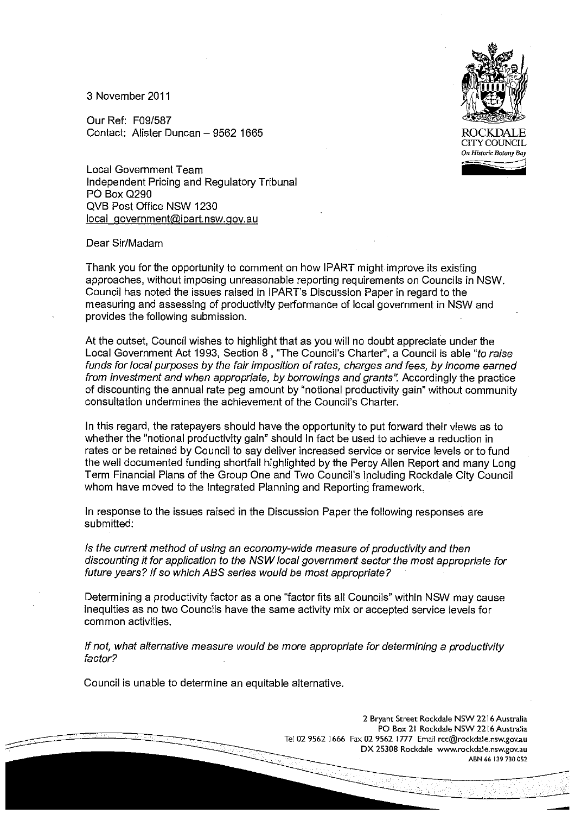3 November 2011

Our Ref: F09/587 Contact: Alister Duncan – 9562 1665 ROCKDALE

Local Government Team Independent Pricing and Regulatory Tribunal PO Box Q290 QVB Post Office NSW 1230 local government@ipart.nsw.gov.au

### Dear Sir/Madam

Thank you for the opportunity to comment on how IPART might improve its existing approaches, without imposing unreasonable reporting requirements on Councils in NSW. Council has noted the issues raised in IPART's Discussion Paper in regard to the measuring and assessing of productivity performance of local government in NSW and provides the following submission.

At the outset, Council wishes to highlight that as you will no doubt appreciate under the Local Government Act 1993, Section 8 , "The Council's Charter", a Council is able "to raise funds for local purposes by the fair imposition of rates, charges and fees, by income earned from investment and when appropriate, by borrowings and grants". Accordingly the practice of discounting the annual rate peg amount by "notional productivity gain" without community consultation undermines the achievement of the Council's Charter.

In this regard, the ratepayers should have the opportunity to put forward their views as to whether the "notional productivity gain" should in fact be used to achieve a reduction in rates or be retained by Council to say deliver increased service or service levels or to fund the well documented funding shortfall highlighted by the Percy Allen Report and many Long Term Financial Plans of the Group One and Two Council's including Rockdale City Council whom have moved to the Integrated Planning and Reporting framework.

In response to the issues raised in the Discussion Paper the following responses are submitted:

Is the current method of using an economy-wide measure of productivity and then discounting it for application to the NSW local government sector the most appropriate for future years? If so which ABS series would be most appropriate?

Determining a productivity factor as a one "factor fits all Councils" within NSW may cause inequities as no two Councils have the same activity mix or accepted service levels for common activities.

If not, what alternative measure would be more appropriate for determining a productivity factor?

Council is unable to determine an equitable alternative.

2 Bryant Street Rockdale NSW 2216 Australia PO Box 21 Rockdale NSW 2216 Australia Tel 02 9562 1666 Fax 02 9562 1777 Email rcc@rockdale.nsw.gov.au DX 25308 Rockdale www.rockdale.nsw.gov.au ABN 66 139 730 052